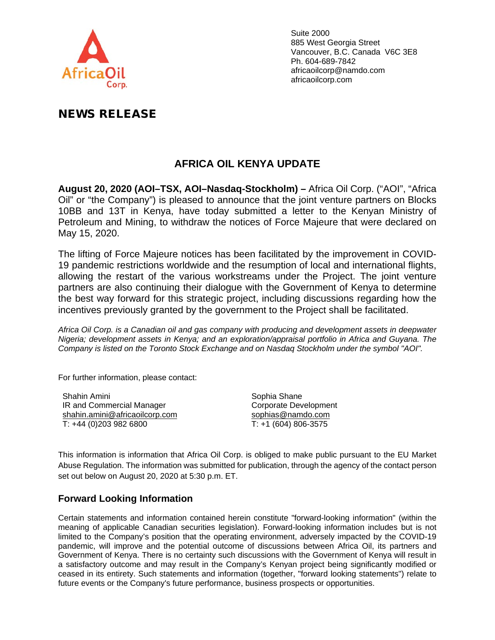

Suite 2000 885 West Georgia Street Vancouver, B.C. Canada V6C 3E8 Ph. 604-689-7842 africaoilcorp@namdo.com africaoilcorp.com

## NEWS RELEASE

## **AFRICA OIL KENYA UPDATE**

**August 20, 2020 (AOI–TSX, AOI–Nasdaq-Stockholm) –** Africa Oil Corp. ("AOI", "Africa Oil" or "the Company") is pleased to announce that the joint venture partners on Blocks 10BB and 13T in Kenya, have today submitted a letter to the Kenyan Ministry of Petroleum and Mining, to withdraw the notices of Force Majeure that were declared on May 15, 2020.

The lifting of Force Majeure notices has been facilitated by the improvement in COVID-19 pandemic restrictions worldwide and the resumption of local and international flights, allowing the restart of the various workstreams under the Project. The joint venture partners are also continuing their dialogue with the Government of Kenya to determine the best way forward for this strategic project, including discussions regarding how the incentives previously granted by the government to the Project shall be facilitated.

*Africa Oil Corp. is a Canadian oil and gas company with producing and development assets in deepwater Nigeria; development assets in Kenya; and an exploration/appraisal portfolio in Africa and Guyana. The Company is listed on the Toronto Stock Exchange and on Nasdaq Stockholm under the symbol "AOI".* 

For further information, please contact:

Shahin Amini IR and Commercial Manager [shahin.amini@africaoilcorp.com](mailto:shahin.amini@africaoilcorp.com) T: +44 (0)203 982 6800

Sophia Shane Corporate Development [sophias@namdo.com](mailto:sophias@namdo.com) T: +1 (604) 806-3575

This information is information that Africa Oil Corp. is obliged to make public pursuant to the EU Market Abuse Regulation. The information was submitted for publication, through the agency of the contact person set out below on August 20, 2020 at 5:30 p.m. ET.

## **Forward Looking Information**

Certain statements and information contained herein constitute "forward-looking information" (within the meaning of applicable Canadian securities legislation). Forward-looking information includes but is not limited to the Company's position that the operating environment, adversely impacted by the COVID-19 pandemic, will improve and the potential outcome of discussions between Africa Oil, its partners and Government of Kenya. There is no certainty such discussions with the Government of Kenya will result in a satisfactory outcome and may result in the Company's Kenyan project being significantly modified or ceased in its entirety. Such statements and information (together, "forward looking statements") relate to future events or the Company's future performance, business prospects or opportunities.